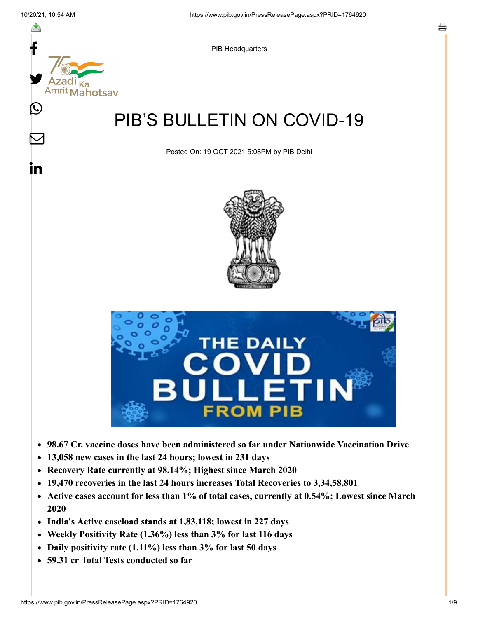

- **98.67 Cr. vaccine doses have been administered so far under Nationwide Vaccination Drive**  $\bullet$
- **13,058 new cases in the last 24 hours; lowest in 231 days**  $\bullet$
- **Recovery Rate currently at 98.14%; Highest since March 2020**  $\bullet$
- **19,470 recoveries in the last 24 hours increases Total Recoveries to 3,34,58,801**  $\bullet$
- **Active cases account for less than 1% of total cases, currently at 0.54%; Lowest since March**  $\bullet$ **2020**
- **India's Active caseload stands at 1,83,118; lowest in 227 days**
- **Weekly Positivity Rate (1.36%) less than 3% for last 116 days**  $\bullet$
- **Daily positivity rate (1.11%) less than 3% for last 50 days**  $\bullet$
- **59.31 cr Total Tests conducted so far**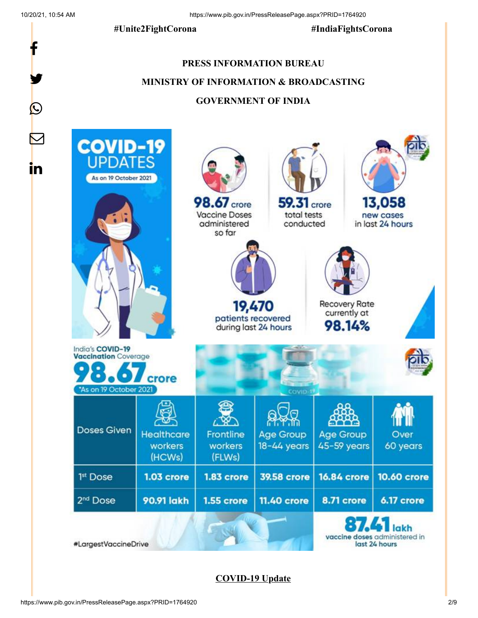y.

**#Unite2FightCorona #IndiaFightsCorona**

# **PRESS INFORMATION BUREAU MINISTRY OF INFORMATION & BROADCASTING GOVERNMENT OF INDIA**



# **COVID-19 Update**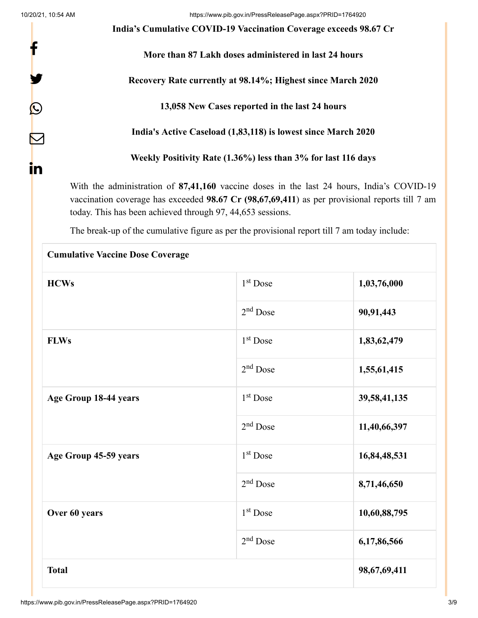y.

 $\bm{\mathcal{Q}}$ 

 $\bm{\nabla}$ 

in

10/20/21, 10:54 AM https://www.pib.gov.in/PressReleasePage.aspx?PRID=1764920

**India's Cumulative COVID-19 Vaccination Coverage exceeds 98.67 Cr**

## **More than 87 Lakh doses administered in last 24 hours**

**Recovery Rate currently at 98.14%; Highest since March 2020**

**13,058 New Cases reported in the last 24 hours**

**India's Active Caseload (1,83,118) is lowest since March 2020**

**Weekly Positivity Rate (1.36%) less than 3% for last 116 days**

With the administration of **87,41,160** vaccine doses in the last 24 hours, India's COVID-19 vaccination coverage has exceeded **98.67 Cr (98,67,69,411**) as per provisional reports till 7 am today. This has been achieved through 97, 44,653 sessions.

The break-up of the cumulative figure as per the provisional report till 7 am today include:

| <b>Cumulative Vaccine Dose Coverage</b> |                      |              |
|-----------------------------------------|----------------------|--------------|
| <b>HCWs</b>                             | $1st$ Dose           | 1,03,76,000  |
|                                         | $2nd$ Dose           | 90,91,443    |
| <b>FLWs</b>                             | 1 <sup>st</sup> Dose | 1,83,62,479  |
|                                         | $2nd$ Dose           | 1,55,61,415  |
| Age Group 18-44 years                   | 1 <sup>st</sup> Dose | 39,58,41,135 |
|                                         | $2nd$ Dose           | 11,40,66,397 |
| Age Group 45-59 years                   | $1st$ Dose           | 16,84,48,531 |
|                                         | $2nd$ Dose           | 8,71,46,650  |
| Over 60 years                           | $1st$ Dose           | 10,60,88,795 |
|                                         | $2nd$ Dose           | 6,17,86,566  |
| <b>Total</b>                            |                      | 98,67,69,411 |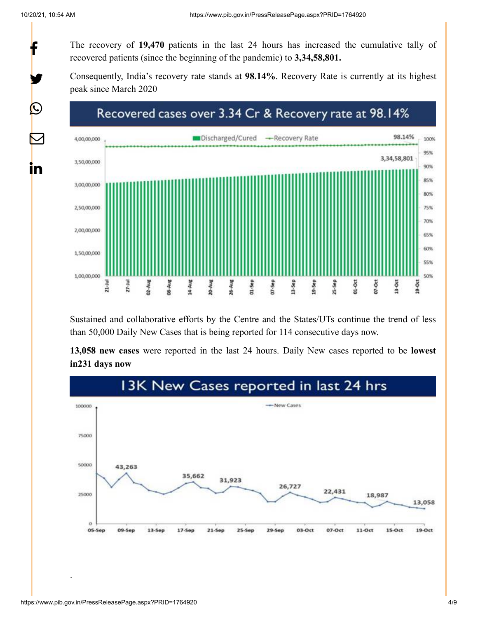y.

 $\bigcirc$ 

 $\blacktriangledown$ 

in

The recovery of **19,470** patients in the last 24 hours has increased the cumulative tally of recovered patients (since the beginning of the pandemic) to **3,34,58,801.**

Consequently, India's recovery rate stands at **98.14%**. Recovery Rate is currently at its highest peak since March 2020

# Recovered cases over 3.34 Cr & Recovery rate at 98.14%



Sustained and collaborative efforts by the Centre and the States/UTs continue the trend of less than 50,000 Daily New Cases that is being reported for 114 consecutive days now.

**13,058 new cases** were reported in the last 24 hours. Daily New cases reported to be **lowest in231 days now**



.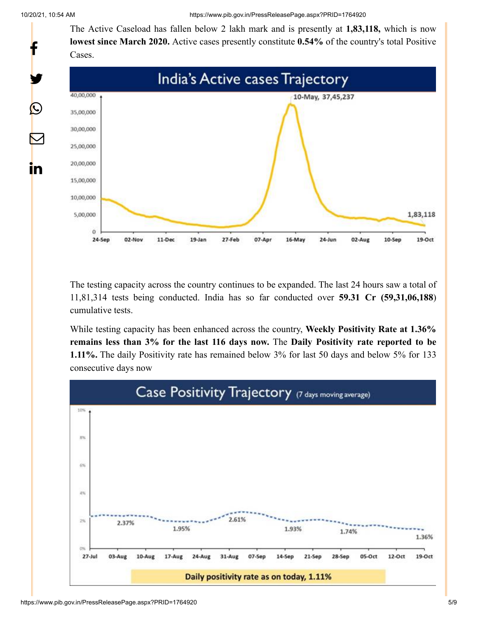y.

 $\bigcirc$ 

 $\bm{\nabla}$ 

in

The Active Caseload has fallen below 2 lakh mark and is presently at **1,83,118,** which is now **lowest since March 2020.** Active cases presently constitute **0.54%** of the country's total Positive Cases.



The testing capacity across the country continues to be expanded. The last 24 hours saw a total of 11,81,314 tests being conducted. India has so far conducted over **59.31 Cr (59,31,06,188**) cumulative tests.

While testing capacity has been enhanced across the country, **Weekly Positivity Rate at 1.36% remains less than 3% for the last 116 days now.** The **Daily Positivity rate reported to be 1.11%.** The daily Positivity rate has remained below 3% for last 50 days and below 5% for 133 consecutive days now

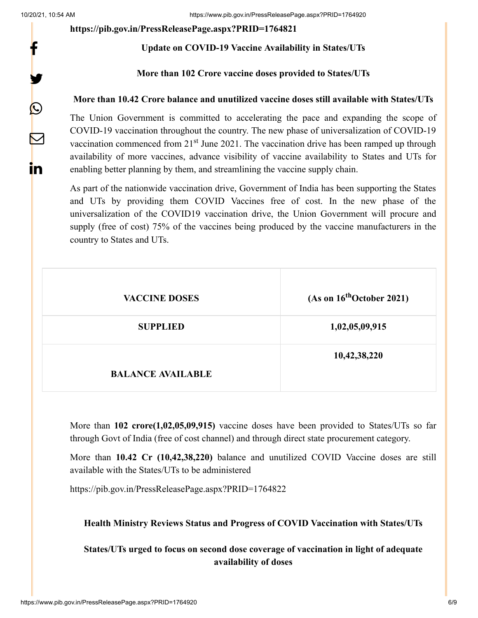y.

 $\bm{\mathcal{Q}}$ 

 $\bm{\nabla}$ 

in

#### **<https://pib.gov.in/PressReleasePage.aspx?PRID=1764821>**

### **Update on COVID-19 Vaccine Availability in States/UTs**

#### **More than 102 Crore vaccine doses provided to States/UTs**

#### **More than 10.42 Crore balance and unutilized vaccine doses still available with States/UTs**

The Union Government is committed to accelerating the pace and expanding the scope of COVID-19 vaccination throughout the country. The new phase of universalization of COVID-19 vaccination commenced from  $21<sup>st</sup>$  June 2021. The vaccination drive has been ramped up through availability of more vaccines, advance visibility of vaccine availability to States and UTs for enabling better planning by them, and streamlining the vaccine supply chain.

As part of the nationwide vaccination drive, Government of India has been supporting the States and UTs by providing them COVID Vaccines free of cost. In the new phase of the universalization of the COVID19 vaccination drive, the Union Government will procure and supply (free of cost) 75% of the vaccines being produced by the vaccine manufacturers in the country to States and UTs.

| <b>VACCINE DOSES</b>     | (As on 16 <sup>th</sup> October 2021) |
|--------------------------|---------------------------------------|
| <b>SUPPLIED</b>          | 1,02,05,09,915                        |
| <b>BALANCE AVAILABLE</b> | 10,42,38,220                          |

More than **102 crore(1,02,05,09,915)** vaccine doses have been provided to States/UTs so far through Govt of India (free of cost channel) and through direct state procurement category.

More than **10.42 Cr (10,42,38,220)** balance and unutilized COVID Vaccine doses are still available with the States/UTs to be administered

<https://pib.gov.in/PressReleasePage.aspx?PRID=1764822>

#### **Health Ministry Reviews Status and Progress of COVID Vaccination with States/UTs**

**States/UTs urged to focus on second dose coverage of vaccination in light of adequate availability of doses**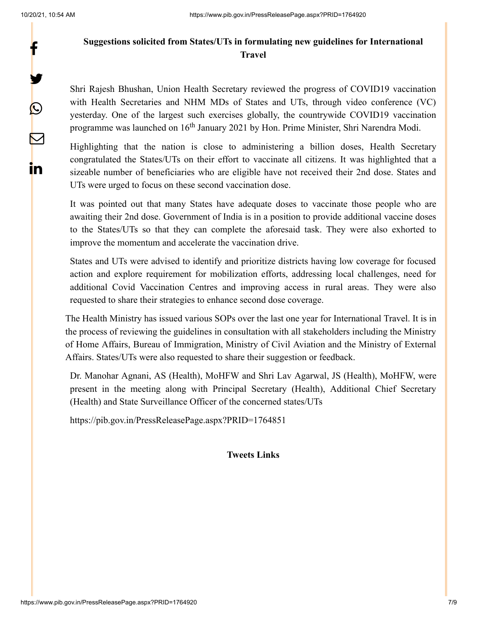y.

 $\bm{\mathcal{Q}}$ 

 $\bm{\nabla}$ 

in

# **Suggestions solicited from States/UTs in formulating new guidelines for International Travel**

Shri Rajesh Bhushan, Union Health Secretary reviewed the progress of COVID19 vaccination with Health Secretaries and NHM MDs of States and UTs, through video conference (VC) yesterday. One of the largest such exercises globally, the countrywide COVID19 vaccination programme was launched on 16<sup>th</sup> January 2021 by Hon. Prime Minister, Shri Narendra Modi.

Highlighting that the nation is close to administering a billion doses, Health Secretary congratulated the States/UTs on their effort to vaccinate all citizens. It was highlighted that a sizeable number of beneficiaries who are eligible have not received their 2nd dose. States and UTs were urged to focus on these second vaccination dose.

It was pointed out that many States have adequate doses to vaccinate those people who are awaiting their 2nd dose. Government of India is in a position to provide additional vaccine doses to the States/UTs so that they can complete the aforesaid task. They were also exhorted to improve the momentum and accelerate the vaccination drive.

States and UTs were advised to identify and prioritize districts having low coverage for focused action and explore requirement for mobilization efforts, addressing local challenges, need for additional Covid Vaccination Centres and improving access in rural areas. They were also requested to share their strategies to enhance second dose coverage.

The Health Ministry has issued various SOPs over the last one year for International Travel. It is in the process of reviewing the guidelines in consultation with all stakeholders including the Ministry of Home Affairs, Bureau of Immigration, Ministry of Civil Aviation and the Ministry of External Affairs. States/UTs were also requested to share their suggestion or feedback.

Dr. Manohar Agnani, AS (Health), MoHFW and Shri Lav Agarwal, JS (Health), MoHFW, were present in the meeting along with Principal Secretary (Health), Additional Chief Secretary (Health) and State Surveillance Officer of the concerned states/UTs

<https://pib.gov.in/PressReleasePage.aspx?PRID=1764851>

**Tweets Links**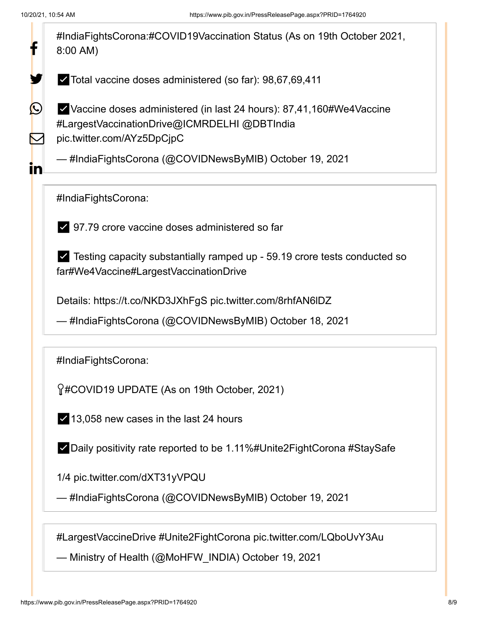